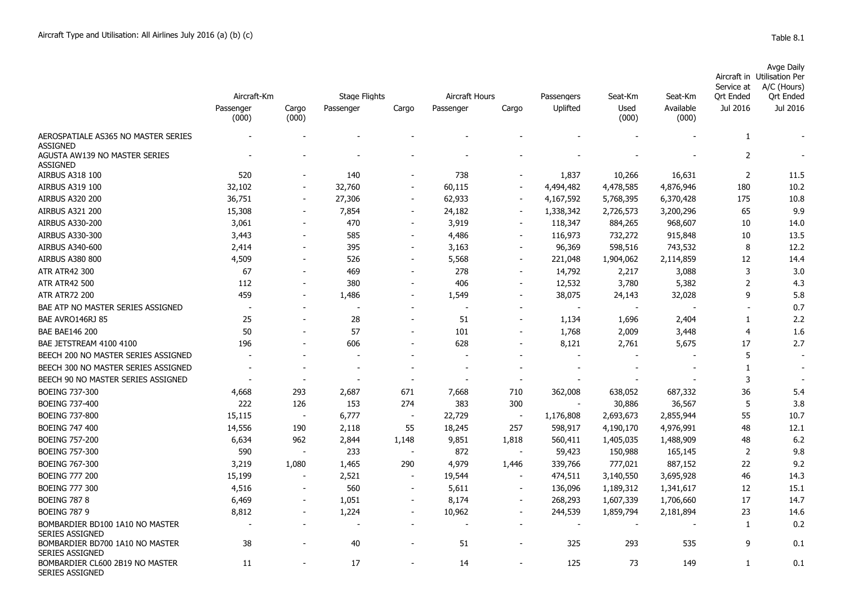Passenger

| Aircraft-Km    |                | Stage Flights | Aircraft Hours |           | Passengers | Seat-Km  | Seat-Km       | Aircraft in<br>Service at<br>Ort Ended | Avge Daily<br><b>Utilisation Per</b><br>A/C (Hours)<br>Ort Ended |          |  |
|----------------|----------------|---------------|----------------|-----------|------------|----------|---------------|----------------------------------------|------------------------------------------------------------------|----------|--|
| ænger<br>(000) | Cargo<br>(000) | Passenger     | Cargo          | Passenger | Cargo      | Uplifted | Used<br>(000) | Available<br>(000)                     | Jul 2016                                                         | Jul 2016 |  |
| -              | $\sim$         | -             | -              | -         | -          | $\sim$   | $\sim$        | $\overline{\phantom{0}}$               |                                                                  |          |  |

|                                                           | (000)  | (000)                    |        |                          |        |                          |           | (000)     | (000)     |                |      |
|-----------------------------------------------------------|--------|--------------------------|--------|--------------------------|--------|--------------------------|-----------|-----------|-----------|----------------|------|
| AEROSPATIALE AS365 NO MASTER SERIES                       |        |                          |        |                          |        |                          |           |           |           | 1              |      |
| <b>ASSIGNED</b>                                           |        |                          |        |                          |        |                          |           |           |           |                |      |
| AGUSTA AW139 NO MASTER SERIES<br><b>ASSIGNED</b>          |        |                          |        |                          |        |                          |           |           |           | 2              |      |
| <b>AIRBUS A318 100</b>                                    | 520    |                          | 140    |                          | 738    |                          | 1,837     | 10,266    | 16,631    | $\overline{2}$ | 11.5 |
| <b>AIRBUS A319 100</b>                                    | 32,102 | $\overline{\phantom{a}}$ | 32,760 | $\overline{a}$           | 60,115 | $\overline{\phantom{a}}$ | 4,494,482 | 4,478,585 | 4,876,946 | 180            | 10.2 |
| <b>AIRBUS A320 200</b>                                    | 36,751 | $\overline{\phantom{a}}$ | 27,306 | $\overline{\phantom{m}}$ | 62,933 | $\overline{\phantom{a}}$ | 4,167,592 | 5,768,395 | 6,370,428 | 175            | 10.8 |
| <b>AIRBUS A321 200</b>                                    | 15,308 | $\overline{\phantom{a}}$ | 7,854  | $\overline{\phantom{a}}$ | 24,182 | $\overline{\phantom{a}}$ | 1,338,342 | 2,726,573 | 3,200,296 | 65             | 9.9  |
| <b>AIRBUS A330-200</b>                                    | 3,061  | $\overline{\phantom{a}}$ | 470    | $\blacksquare$           | 3,919  | $\overline{\phantom{a}}$ | 118,347   | 884,265   | 968,607   | 10             | 14.0 |
| AIRBUS A330-300                                           | 3,443  | $\overline{\phantom{a}}$ | 585    | $\blacksquare$           | 4,486  | $\overline{\phantom{a}}$ | 116,973   | 732,272   | 915,848   | 10             | 13.5 |
| AIRBUS A340-600                                           | 2,414  | $\overline{\phantom{a}}$ | 395    | $\blacksquare$           | 3,163  | $\blacksquare$           | 96,369    | 598,516   | 743,532   | 8              | 12.2 |
| <b>AIRBUS A380 800</b>                                    | 4,509  |                          | 526    | $\overline{a}$           | 5,568  | $\overline{\phantom{a}}$ | 221,048   | 1,904,062 | 2,114,859 | 12             | 14.4 |
| <b>ATR ATR42 300</b>                                      | 67     |                          | 469    | $\overline{a}$           | 278    | $\overline{\phantom{a}}$ | 14,792    | 2,217     | 3,088     | 3              | 3.0  |
| <b>ATR ATR42 500</b>                                      | 112    |                          | 380    |                          | 406    | $\sim$                   | 12,532    | 3,780     | 5,382     | $\overline{2}$ | 4.3  |
| <b>ATR ATR72 200</b>                                      | 459    | $\overline{\phantom{a}}$ | 1,486  | $\overline{\phantom{a}}$ | 1,549  | $\overline{a}$           | 38,075    | 24,143    | 32,028    | 9              | 5.8  |
| BAE ATP NO MASTER SERIES ASSIGNED                         |        |                          |        |                          |        |                          |           |           |           |                | 0.7  |
| BAE AVRO146RJ 85                                          | 25     |                          | 28     |                          | 51     |                          | 1,134     | 1,696     | 2,404     | 1              | 2.2  |
| <b>BAE BAE146 200</b>                                     | 50     |                          | 57     |                          | 101    | $\overline{\phantom{a}}$ | 1,768     | 2,009     | 3,448     | $\overline{4}$ | 1.6  |
| BAE JETSTREAM 4100 4100                                   | 196    |                          | 606    |                          | 628    |                          | 8,121     | 2,761     | 5,675     | 17             | 2.7  |
| BEECH 200 NO MASTER SERIES ASSIGNED                       |        |                          |        |                          |        |                          |           |           |           | 5              |      |
| BEECH 300 NO MASTER SERIES ASSIGNED                       |        |                          |        |                          |        |                          |           |           |           | $\mathbf{1}$   |      |
| BEECH 90 NO MASTER SERIES ASSIGNED                        |        |                          |        |                          |        | $\overline{\phantom{a}}$ |           |           |           | 3              |      |
| <b>BOEING 737-300</b>                                     | 4,668  | 293                      | 2,687  | 671                      | 7,668  | 710                      | 362,008   | 638,052   | 687,332   | 36             | 5.4  |
| <b>BOEING 737-400</b>                                     | 222    | 126                      | 153    | 274                      | 383    | 300                      |           | 30,886    | 36,567    | 5              | 3.8  |
| <b>BOEING 737-800</b>                                     | 15,115 | $\overline{\phantom{a}}$ | 6,777  | $\overline{\phantom{a}}$ | 22,729 | $\sim$                   | 1,176,808 | 2,693,673 | 2,855,944 | 55             | 10.7 |
| <b>BOEING 747 400</b>                                     | 14,556 | 190                      | 2,118  | 55                       | 18,245 | 257                      | 598,917   | 4,190,170 | 4,976,991 | 48             | 12.1 |
| <b>BOEING 757-200</b>                                     | 6,634  | 962                      | 2,844  | 1,148                    | 9,851  | 1,818                    | 560,411   | 1,405,035 | 1,488,909 | 48             | 6.2  |
| <b>BOEING 757-300</b>                                     | 590    |                          | 233    |                          | 872    | $\overline{\phantom{a}}$ | 59,423    | 150,988   | 165,145   | 2              | 9.8  |
| <b>BOEING 767-300</b>                                     | 3,219  | 1,080                    | 1,465  | 290                      | 4,979  | 1,446                    | 339,766   | 777,021   | 887,152   | 22             | 9.2  |
| <b>BOEING 777 200</b>                                     | 15,199 | $\overline{\phantom{a}}$ | 2,521  | $\overline{\phantom{a}}$ | 19,544 | $\overline{\phantom{a}}$ | 474,511   | 3,140,550 | 3,695,928 | 46             | 14.3 |
| <b>BOEING 777 300</b>                                     | 4,516  | $\overline{\phantom{a}}$ | 560    | $\overline{\phantom{a}}$ | 5,611  | $\overline{\phantom{a}}$ | 136,096   | 1,189,312 | 1,341,617 | 12             | 15.1 |
| <b>BOEING 787 8</b>                                       | 6,469  | $\sim$                   | 1,051  | $\overline{\phantom{0}}$ | 8,174  | $\sim$                   | 268,293   | 1,607,339 | 1,706,660 | 17             | 14.7 |
| <b>BOEING 787 9</b>                                       | 8,812  | $\overline{\phantom{a}}$ | 1,224  | $\overline{a}$           | 10,962 | $\overline{\phantom{a}}$ | 244,539   | 1,859,794 | 2,181,894 | 23             | 14.6 |
| BOMBARDIER BD100 1A10 NO MASTER<br><b>SERIES ASSIGNED</b> |        |                          |        |                          |        |                          |           |           |           | 1              | 0.2  |
| BOMBARDIER BD700 1A10 NO MASTER<br><b>SERIES ASSIGNED</b> | 38     |                          | 40     |                          | 51     |                          | 325       | 293       | 535       | 9              | 0.1  |
| BOMBARDIER CL600 2B19 NO MASTER<br><b>SERIES ASSIGNED</b> | 11     |                          | 17     | $\overline{\phantom{a}}$ | 14     | $\overline{\phantom{a}}$ | 125       | 73        | 149       | 1              | 0.1  |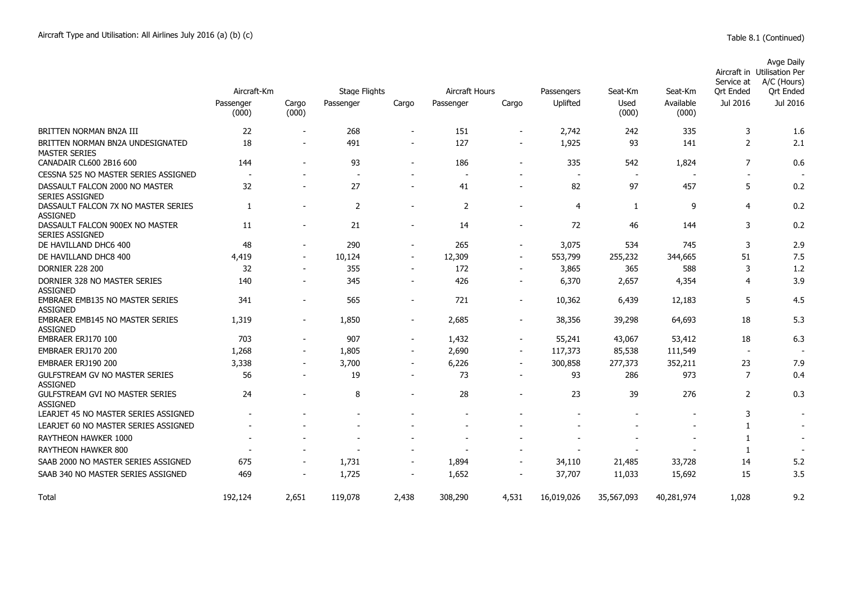|                                                           |                          |                          |                      |                          |                          |                          |            |               |                    | Service at     | Aircraft in Utilisation Per<br>A/C (Hours) |
|-----------------------------------------------------------|--------------------------|--------------------------|----------------------|--------------------------|--------------------------|--------------------------|------------|---------------|--------------------|----------------|--------------------------------------------|
|                                                           | Aircraft-Km              |                          | <b>Stage Flights</b> |                          | Aircraft Hours           |                          | Passengers | Seat-Km       | Seat-Km            | Ort Ended      | Ort Ended                                  |
|                                                           | Passenger<br>(000)       | Cargo<br>(000)           | Passenger            | Cargo                    | Passenger                | Cargo                    | Uplifted   | Used<br>(000) | Available<br>(000) | Jul 2016       | Jul 2016                                   |
| BRITTEN NORMAN BN2A III                                   | 22                       |                          | 268                  | $\overline{\phantom{a}}$ | 151                      | $\overline{\phantom{a}}$ | 2,742      | 242           | 335                | 3              | 1.6                                        |
| BRITTEN NORMAN BN2A UNDESIGNATED<br><b>MASTER SERIES</b>  | 18                       | $\overline{a}$           | 491                  |                          | 127                      | $\overline{\phantom{a}}$ | 1,925      | 93            | 141                | $\overline{2}$ | 2.1                                        |
| CANADAIR CL600 2B16 600                                   | 144                      |                          | 93                   | $\overline{\phantom{0}}$ | 186                      |                          | 335        | 542           | 1,824              | 7              | 0.6                                        |
| CESSNA 525 NO MASTER SERIES ASSIGNED                      | $\overline{\phantom{a}}$ |                          | $\sim$               |                          | $\overline{\phantom{a}}$ |                          | $\sim$     | $\sim$        |                    |                |                                            |
| DASSAULT FALCON 2000 NO MASTER<br><b>SERIES ASSIGNED</b>  | 32                       |                          | 27                   |                          | 41                       |                          | 82         | 97            | 457                | 5              | 0.2                                        |
| DASSAULT FALCON 7X NO MASTER SERIES<br><b>ASSIGNED</b>    | 1                        |                          | 2                    |                          | 2                        |                          | 4          | 1             | 9                  | 4              | 0.2                                        |
| DASSAULT FALCON 900EX NO MASTER<br><b>SERIES ASSIGNED</b> | 11                       | $\overline{\phantom{a}}$ | 21                   | $\overline{\phantom{a}}$ | 14                       | $\overline{\phantom{a}}$ | 72         | 46            | 144                | 3              | 0.2                                        |
| DE HAVILLAND DHC6 400                                     | 48                       | $\blacksquare$           | 290                  | $\overline{\phantom{a}}$ | 265                      | $\overline{\phantom{a}}$ | 3,075      | 534           | 745                | 3              | 2.9                                        |
| DE HAVILLAND DHC8 400                                     | 4,419                    |                          | 10,124               | $\overline{\phantom{a}}$ | 12,309                   | $\overline{\phantom{a}}$ | 553,799    | 255,232       | 344,665            | 51             | 7.5                                        |
| <b>DORNIER 228 200</b>                                    | 32                       | $\blacksquare$           | 355                  | $\overline{\phantom{a}}$ | 172                      | $\overline{\phantom{a}}$ | 3,865      | 365           | 588                | 3              | 1.2                                        |
| DORNIER 328 NO MASTER SERIES<br><b>ASSIGNED</b>           | 140                      | $\overline{\phantom{0}}$ | 345                  | $\overline{\phantom{a}}$ | 426                      | $\blacksquare$           | 6,370      | 2,657         | 4,354              | 4              | 3.9                                        |
| <b>EMBRAER EMB135 NO MASTER SERIES</b><br><b>ASSIGNED</b> | 341                      | $\overline{\phantom{a}}$ | 565                  | $\overline{\phantom{a}}$ | 721                      | $\overline{\phantom{a}}$ | 10,362     | 6,439         | 12,183             | 5              | 4.5                                        |
| <b>EMBRAER EMB145 NO MASTER SERIES</b><br><b>ASSIGNED</b> | 1,319                    |                          | 1,850                | $\overline{\phantom{a}}$ | 2,685                    |                          | 38,356     | 39,298        | 64,693             | 18             | 5.3                                        |
| EMBRAER ERJ170 100                                        | 703                      | $\overline{\phantom{a}}$ | 907                  | $\blacksquare$           | 1,432                    | $\overline{\phantom{a}}$ | 55,241     | 43,067        | 53,412             | 18             | 6.3                                        |
| EMBRAER ERJ170 200                                        | 1,268                    | $\overline{\phantom{a}}$ | 1,805                | $\overline{\phantom{a}}$ | 2,690                    | $\overline{\phantom{a}}$ | 117,373    | 85,538        | 111,549            |                |                                            |
| EMBRAER ERJ190 200                                        | 3,338                    |                          | 3,700                | $\overline{\phantom{a}}$ | 6,226                    | $\overline{\phantom{a}}$ | 300,858    | 277,373       | 352,211            | 23             | 7.9                                        |
| <b>GULFSTREAM GV NO MASTER SERIES</b><br><b>ASSIGNED</b>  | 56                       |                          | 19                   | $\blacksquare$           | 73                       | ٠                        | 93         | 286           | 973                | 7              | 0.4                                        |
| <b>GULFSTREAM GVI NO MASTER SERIES</b><br><b>ASSIGNED</b> | 24                       |                          | 8                    | $\overline{\phantom{a}}$ | 28                       | $\overline{\phantom{a}}$ | 23         | 39            | 276                | $\overline{2}$ | 0.3                                        |
| LEARJET 45 NO MASTER SERIES ASSIGNED                      |                          |                          |                      |                          |                          |                          |            |               |                    | 3              |                                            |
| LEARJET 60 NO MASTER SERIES ASSIGNED                      |                          |                          |                      |                          |                          |                          |            |               |                    | 1              |                                            |
| RAYTHEON HAWKER 1000                                      |                          |                          |                      |                          |                          |                          |            |               |                    | $\mathbf{1}$   |                                            |
| RAYTHEON HAWKER 800                                       |                          |                          |                      |                          |                          |                          |            |               |                    | $\overline{1}$ |                                            |
| SAAB 2000 NO MASTER SERIES ASSIGNED                       | 675                      | $\overline{\phantom{a}}$ | 1,731                | $\overline{\phantom{a}}$ | 1,894                    | $\overline{\phantom{a}}$ | 34,110     | 21,485        | 33,728             | 14             | 5.2                                        |
| SAAB 340 NO MASTER SERIES ASSIGNED                        | 469                      |                          | 1,725                | $\overline{\phantom{a}}$ | 1,652                    |                          | 37,707     | 11,033        | 15,692             | 15             | 3.5                                        |
| Total                                                     | 192,124                  | 2,651                    | 119,078              | 2,438                    | 308,290                  | 4,531                    | 16,019,026 | 35,567,093    | 40,281,974         | 1,028          | 9.2                                        |

Avge Daily